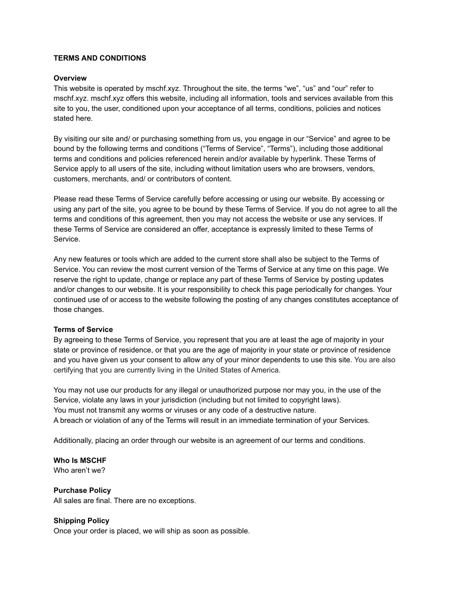#### **TERMS AND CONDITIONS**

#### **Overview**

This website is operated by mschf.xyz. Throughout the site, the terms "we", "us" and "our" refer to mschf.xyz. mschf.xyz offers this website, including all information, tools and services available from this site to you, the user, conditioned upon your acceptance of all terms, conditions, policies and notices stated here.

By visiting our site and/ or purchasing something from us, you engage in our "Service" and agree to be bound by the following terms and conditions ("Terms of Service", "Terms"), including those additional terms and conditions and policies referenced herein and/or available by hyperlink. These Terms of Service apply to all users of the site, including without limitation users who are browsers, vendors, customers, merchants, and/ or contributors of content.

Please read these Terms of Service carefully before accessing or using our website. By accessing or using any part of the site, you agree to be bound by these Terms of Service. If you do not agree to all the terms and conditions of this agreement, then you may not access the website or use any services. If these Terms of Service are considered an offer, acceptance is expressly limited to these Terms of Service.

Any new features or tools which are added to the current store shall also be subject to the Terms of Service. You can review the most current version of the Terms of Service at any time on this page. We reserve the right to update, change or replace any part of these Terms of Service by posting updates and/or changes to our website. It is your responsibility to check this page periodically for changes. Your continued use of or access to the website following the posting of any changes constitutes acceptance of those changes.

#### **Terms of Service**

By agreeing to these Terms of Service, you represent that you are at least the age of majority in your state or province of residence, or that you are the age of majority in your state or province of residence and you have given us your consent to allow any of your minor dependents to use this site. You are also certifying that you are currently living in the United States of America.

You may not use our products for any illegal or unauthorized purpose nor may you, in the use of the Service, violate any laws in your jurisdiction (including but not limited to copyright laws). You must not transmit any worms or viruses or any code of a destructive nature. A breach or violation of any of the Terms will result in an immediate termination of your Services.

Additionally, placing an order through our website is an agreement of our terms and conditions.

**Who Is MSCHF** Who aren't we?

# **Purchase Policy**

All sales are final. There are no exceptions.

# **Shipping Policy**

Once your order is placed, we will ship as soon as possible.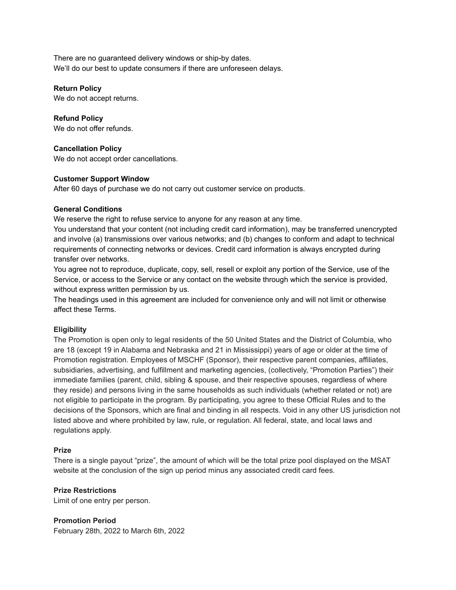There are no guaranteed delivery windows or ship-by dates. We'll do our best to update consumers if there are unforeseen delays.

#### **Return Policy**

We do not accept returns.

**Refund Policy**

We do not offer refunds.

**Cancellation Policy** We do not accept order cancellations.

# **Customer Support Window**

After 60 days of purchase we do not carry out customer service on products.

# **General Conditions**

We reserve the right to refuse service to anyone for any reason at any time.

You understand that your content (not including credit card information), may be transferred unencrypted and involve (a) transmissions over various networks; and (b) changes to conform and adapt to technical requirements of connecting networks or devices. Credit card information is always encrypted during transfer over networks.

You agree not to reproduce, duplicate, copy, sell, resell or exploit any portion of the Service, use of the Service, or access to the Service or any contact on the website through which the service is provided, without express written permission by us.

The headings used in this agreement are included for convenience only and will not limit or otherwise affect these Terms.

# **Eligibility**

The Promotion is open only to legal residents of the 50 United States and the District of Columbia, who are 18 (except 19 in Alabama and Nebraska and 21 in Mississippi) years of age or older at the time of Promotion registration. Employees of MSCHF (Sponsor), their respective parent companies, affiliates, subsidiaries, advertising, and fulfillment and marketing agencies, (collectively, "Promotion Parties") their immediate families (parent, child, sibling & spouse, and their respective spouses, regardless of where they reside) and persons living in the same households as such individuals (whether related or not) are not eligible to participate in the program. By participating, you agree to these Official Rules and to the decisions of the Sponsors, which are final and binding in all respects. Void in any other US jurisdiction not listed above and where prohibited by law, rule, or regulation. All federal, state, and local laws and regulations apply.

# **Prize**

There is a single payout "prize", the amount of which will be the total prize pool displayed on the MSAT website at the conclusion of the sign up period minus any associated credit card fees.

#### **Prize Restrictions**

Limit of one entry per person.

**Promotion Period** February 28th, 2022 to March 6th, 2022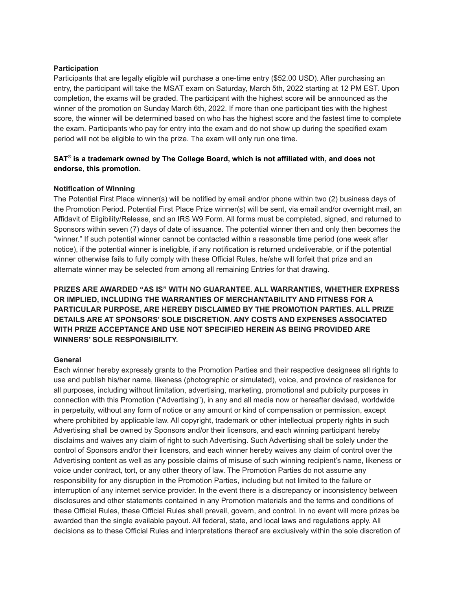#### **Participation**

Participants that are legally eligible will purchase a one-time entry (\$52.00 USD). After purchasing an entry, the participant will take the MSAT exam on Saturday, March 5th, 2022 starting at 12 PM EST. Upon completion, the exams will be graded. The participant with the highest score will be announced as the winner of the promotion on Sunday March 6th, 2022. If more than one participant ties with the highest score, the winner will be determined based on who has the highest score and the fastest time to complete the exam. Participants who pay for entry into the exam and do not show up during the specified exam period will not be eligible to win the prize. The exam will only run one time.

# **SAT ® is a trademark owned by The College Board, which is not affiliated with, and does not endorse, this promotion.**

#### **Notification of Winning**

The Potential First Place winner(s) will be notified by email and/or phone within two (2) business days of the Promotion Period. Potential First Place Prize winner(s) will be sent, via email and/or overnight mail, an Affidavit of Eligibility/Release, and an IRS W9 Form. All forms must be completed, signed, and returned to Sponsors within seven (7) days of date of issuance. The potential winner then and only then becomes the "winner." If such potential winner cannot be contacted within a reasonable time period (one week after notice), if the potential winner is ineligible, if any notification is returned undeliverable, or if the potential winner otherwise fails to fully comply with these Official Rules, he/she will forfeit that prize and an alternate winner may be selected from among all remaining Entries for that drawing.

# **PRIZES ARE AWARDED "AS IS" WITH NO GUARANTEE. ALL WARRANTIES, WHETHER EXPRESS OR IMPLIED, INCLUDING THE WARRANTIES OF MERCHANTABILITY AND FITNESS FOR A PARTICULAR PURPOSE, ARE HEREBY DISCLAIMED BY THE PROMOTION PARTIES. ALL PRIZE DETAILS ARE AT SPONSORS' SOLE DISCRETION. ANY COSTS AND EXPENSES ASSOCIATED WITH PRIZE ACCEPTANCE AND USE NOT SPECIFIED HEREIN AS BEING PROVIDED ARE WINNERS' SOLE RESPONSIBILITY.**

#### **General**

Each winner hereby expressly grants to the Promotion Parties and their respective designees all rights to use and publish his/her name, likeness (photographic or simulated), voice, and province of residence for all purposes, including without limitation, advertising, marketing, promotional and publicity purposes in connection with this Promotion ("Advertising"), in any and all media now or hereafter devised, worldwide in perpetuity, without any form of notice or any amount or kind of compensation or permission, except where prohibited by applicable law. All copyright, trademark or other intellectual property rights in such Advertising shall be owned by Sponsors and/or their licensors, and each winning participant hereby disclaims and waives any claim of right to such Advertising. Such Advertising shall be solely under the control of Sponsors and/or their licensors, and each winner hereby waives any claim of control over the Advertising content as well as any possible claims of misuse of such winning recipient's name, likeness or voice under contract, tort, or any other theory of law. The Promotion Parties do not assume any responsibility for any disruption in the Promotion Parties, including but not limited to the failure or interruption of any internet service provider. In the event there is a discrepancy or inconsistency between disclosures and other statements contained in any Promotion materials and the terms and conditions of these Official Rules, these Official Rules shall prevail, govern, and control. In no event will more prizes be awarded than the single available payout. All federal, state, and local laws and regulations apply. All decisions as to these Official Rules and interpretations thereof are exclusively within the sole discretion of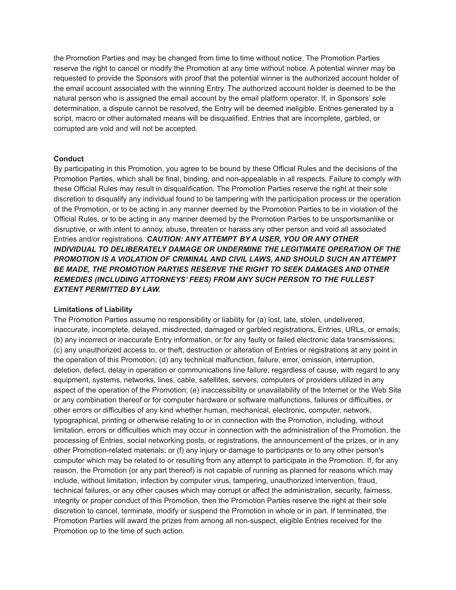the Promotion Parties and may be changed from time to time without notice. The Promotion Parties reserve the right to cancel or modify the Promotion at any time without notice. A potential winner may be requested to provide the Sponsors with proof that the potential winner is the authorized account holder of the email account associated with the winning Entry. The authorized account holder is deemed to be the natural person who is assigned the email account by the email platform operator. If, in Sponsors' sole determination, a dispute cannot be resolved, the Entry will be deemed ineligible. Entries generated by a script, macro or other automated means will be disqualified. Entries that are incomplete, garbled, or corrupted are void and will not be accepted.

#### **Conduct**

By participating in this Promotion, you agree to be bound by these Official Rules and the decisions of the Promotion Parties, which shall be final, binding, and non-appealable in all respects. Failure to comply with these Official Rules may result in disqualification. The Promotion Parties reserve the right at their sole discretion to disqualify any individual found to be tampering with the participation process or the operation of the Promotion, or to be acting in any manner deemed by the Promotion Parties to be in violation of the Official Rules, or to be acting in any manner deemed by the Promotion Parties to be unsportsmanlike or disruptive, or with intent to annoy, abuse, threaten or harass any other person and void all associated Entries and/or registrations. *CAUTION: ANY ATTEMPT BY A USER, YOU OR ANY OTHER INDIVIDUAL TO DELIBERATELY DAMAGE OR UNDERMINE THE LEGITIMATE OPERATION OF THE PROMOTION IS A VIOLATION OF CRIMINAL AND CIVIL LAWS, AND SHOULD SUCH AN ATTEMPT BE MADE, THE PROMOTION PARTIES RESERVE THE RIGHT TO SEEK DAMAGES AND OTHER REMEDIES (INCLUDING ATTORNEYS' FEES) FROM ANY SUCH PERSON TO THE FULLEST EXTENT PERMITTED BY LAW.*

#### **Limitations of Liability**

The Promotion Parties assume no responsibility or liability for (a) lost, late, stolen, undelivered, inaccurate, incomplete, delayed, misdirected, damaged or garbled registrations, Entries, URLs, or emails; (b) any incorrect or inaccurate Entry information, or for any faulty or failed electronic data transmissions; (c) any unauthorized access to, or theft, destruction or alteration of Entries or registrations at any point in the operation of this Promotion; (d) any technical malfunction, failure, error, omission, interruption, deletion, defect, delay in operation or communications line failure, regardless of cause, with regard to any equipment, systems, networks, lines, cable, satellites, servers, computers or providers utilized in any aspect of the operation of the Promotion; (e) inaccessibility or unavailability of the Internet or the Web Site or any combination thereof or for computer hardware or software malfunctions, failures or difficulties, or other errors or difficulties of any kind whether human, mechanical, electronic, computer, network, typographical, printing or otherwise relating to or in connection with the Promotion, including, without limitation, errors or difficulties which may occur in connection with the administration of the Promotion, the processing of Entries, social networking posts, or registrations, the announcement of the prizes, or in any other Promotion-related materials; or (f) any injury or damage to participants or to any other person's computer which may be related to or resulting from any attempt to participate in the Promotion. If, for any reason, the Promotion (or any part thereof) is not capable of running as planned for reasons which may include, without limitation, infection by computer virus, tampering, unauthorized intervention, fraud, technical failures, or any other causes which may corrupt or affect the administration, security, fairness, integrity or proper conduct of this Promotion, then the Promotion Parties reserve the right at their sole discretion to cancel, terminate, modify or suspend the Promotion in whole or in part. If terminated, the Promotion Parties will award the prizes from among all non-suspect, eligible Entries received for the Promotion up to the time of such action.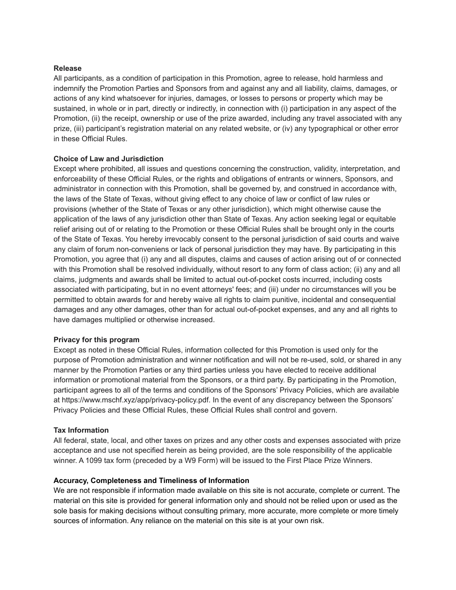#### **Release**

All participants, as a condition of participation in this Promotion, agree to release, hold harmless and indemnify the Promotion Parties and Sponsors from and against any and all liability, claims, damages, or actions of any kind whatsoever for injuries, damages, or losses to persons or property which may be sustained, in whole or in part, directly or indirectly, in connection with (i) participation in any aspect of the Promotion, (ii) the receipt, ownership or use of the prize awarded, including any travel associated with any prize, (iii) participant's registration material on any related website, or (iv) any typographical or other error in these Official Rules.

# **Choice of Law and Jurisdiction**

Except where prohibited, all issues and questions concerning the construction, validity, interpretation, and enforceability of these Official Rules, or the rights and obligations of entrants or winners, Sponsors, and administrator in connection with this Promotion, shall be governed by, and construed in accordance with, the laws of the State of Texas, without giving effect to any choice of law or conflict of law rules or provisions (whether of the State of Texas or any other jurisdiction), which might otherwise cause the application of the laws of any jurisdiction other than State of Texas. Any action seeking legal or equitable relief arising out of or relating to the Promotion or these Official Rules shall be brought only in the courts of the State of Texas. You hereby irrevocably consent to the personal jurisdiction of said courts and waive any claim of forum non-conveniens or lack of personal jurisdiction they may have. By participating in this Promotion, you agree that (i) any and all disputes, claims and causes of action arising out of or connected with this Promotion shall be resolved individually, without resort to any form of class action; (ii) any and all claims, judgments and awards shall be limited to actual out-of-pocket costs incurred, including costs associated with participating, but in no event attorneys' fees; and (iii) under no circumstances will you be permitted to obtain awards for and hereby waive all rights to claim punitive, incidental and consequential damages and any other damages, other than for actual out-of-pocket expenses, and any and all rights to have damages multiplied or otherwise increased.

# **Privacy for this program**

Except as noted in these Official Rules, information collected for this Promotion is used only for the purpose of Promotion administration and winner notification and will not be re-used, sold, or shared in any manner by the Promotion Parties or any third parties unless you have elected to receive additional information or promotional material from the Sponsors, or a third party. By participating in the Promotion, participant agrees to all of the terms and conditions of the Sponsors' Privacy Policies, which are available at https://www.mschf.xyz/app/privacy-policy.pdf. In the event of any discrepancy between the Sponsors' Privacy Policies and these Official Rules, these Official Rules shall control and govern.

# **Tax Information**

All federal, state, local, and other taxes on prizes and any other costs and expenses associated with prize acceptance and use not specified herein as being provided, are the sole responsibility of the applicable winner. A 1099 tax form (preceded by a W9 Form) will be issued to the First Place Prize Winners.

#### **Accuracy, Completeness and Timeliness of Information**

We are not responsible if information made available on this site is not accurate, complete or current. The material on this site is provided for general information only and should not be relied upon or used as the sole basis for making decisions without consulting primary, more accurate, more complete or more timely sources of information. Any reliance on the material on this site is at your own risk.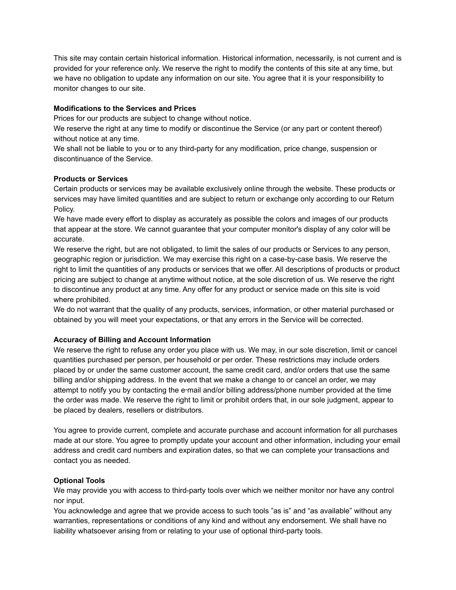This site may contain certain historical information. Historical information, necessarily, is not current and is provided for your reference only. We reserve the right to modify the contents of this site at any time, but we have no obligation to update any information on our site. You agree that it is your responsibility to monitor changes to our site.

# **Modifications to the Services and Prices**

Prices for our products are subject to change without notice.

We reserve the right at any time to modify or discontinue the Service (or any part or content thereof) without notice at any time.

We shall not be liable to you or to any third-party for any modification, price change, suspension or discontinuance of the Service.

# **Products or Services**

Certain products or services may be available exclusively online through the website. These products or services may have limited quantities and are subject to return or exchange only according to our Return Policy.

We have made every effort to display as accurately as possible the colors and images of our products that appear at the store. We cannot guarantee that your computer monitor's display of any color will be accurate.

We reserve the right, but are not obligated, to limit the sales of our products or Services to any person, geographic region or jurisdiction. We may exercise this right on a case-by-case basis. We reserve the right to limit the quantities of any products or services that we offer. All descriptions of products or product pricing are subject to change at anytime without notice, at the sole discretion of us. We reserve the right to discontinue any product at any time. Any offer for any product or service made on this site is void where prohibited.

We do not warrant that the quality of any products, services, information, or other material purchased or obtained by you will meet your expectations, or that any errors in the Service will be corrected.

# **Accuracy of Billing and Account Information**

We reserve the right to refuse any order you place with us. We may, in our sole discretion, limit or cancel quantities purchased per person, per household or per order. These restrictions may include orders placed by or under the same customer account, the same credit card, and/or orders that use the same billing and/or shipping address. In the event that we make a change to or cancel an order, we may attempt to notify you by contacting the e-mail and/or billing address/phone number provided at the time the order was made. We reserve the right to limit or prohibit orders that, in our sole judgment, appear to be placed by dealers, resellers or distributors.

You agree to provide current, complete and accurate purchase and account information for all purchases made at our store. You agree to promptly update your account and other information, including your email address and credit card numbers and expiration dates, so that we can complete your transactions and contact you as needed.

# **Optional Tools**

We may provide you with access to third-party tools over which we neither monitor nor have any control nor input.

You acknowledge and agree that we provide access to such tools "as is" and "as available" without any warranties, representations or conditions of any kind and without any endorsement. We shall have no liability whatsoever arising from or relating to your use of optional third-party tools.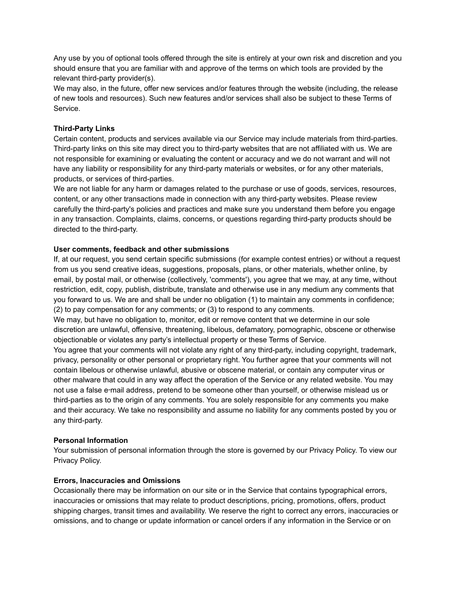Any use by you of optional tools offered through the site is entirely at your own risk and discretion and you should ensure that you are familiar with and approve of the terms on which tools are provided by the relevant third-party provider(s).

We may also, in the future, offer new services and/or features through the website (including, the release of new tools and resources). Such new features and/or services shall also be subject to these Terms of Service.

# **Third-Party Links**

Certain content, products and services available via our Service may include materials from third-parties. Third-party links on this site may direct you to third-party websites that are not affiliated with us. We are not responsible for examining or evaluating the content or accuracy and we do not warrant and will not have any liability or responsibility for any third-party materials or websites, or for any other materials, products, or services of third-parties.

We are not liable for any harm or damages related to the purchase or use of goods, services, resources, content, or any other transactions made in connection with any third-party websites. Please review carefully the third-party's policies and practices and make sure you understand them before you engage in any transaction. Complaints, claims, concerns, or questions regarding third-party products should be directed to the third-party.

#### **User comments, feedback and other submissions**

If, at our request, you send certain specific submissions (for example contest entries) or without a request from us you send creative ideas, suggestions, proposals, plans, or other materials, whether online, by email, by postal mail, or otherwise (collectively, 'comments'), you agree that we may, at any time, without restriction, edit, copy, publish, distribute, translate and otherwise use in any medium any comments that you forward to us. We are and shall be under no obligation (1) to maintain any comments in confidence; (2) to pay compensation for any comments; or (3) to respond to any comments.

We may, but have no obligation to, monitor, edit or remove content that we determine in our sole discretion are unlawful, offensive, threatening, libelous, defamatory, pornographic, obscene or otherwise objectionable or violates any party's intellectual property or these Terms of Service.

You agree that your comments will not violate any right of any third-party, including copyright, trademark, privacy, personality or other personal or proprietary right. You further agree that your comments will not contain libelous or otherwise unlawful, abusive or obscene material, or contain any computer virus or other malware that could in any way affect the operation of the Service or any related website. You may not use a false e-mail address, pretend to be someone other than yourself, or otherwise mislead us or third-parties as to the origin of any comments. You are solely responsible for any comments you make and their accuracy. We take no responsibility and assume no liability for any comments posted by you or any third-party.

#### **Personal Information**

Your submission of personal information through the store is governed by our Privacy Policy. To view our Privacy Policy.

#### **Errors, Inaccuracies and Omissions**

Occasionally there may be information on our site or in the Service that contains typographical errors, inaccuracies or omissions that may relate to product descriptions, pricing, promotions, offers, product shipping charges, transit times and availability. We reserve the right to correct any errors, inaccuracies or omissions, and to change or update information or cancel orders if any information in the Service or on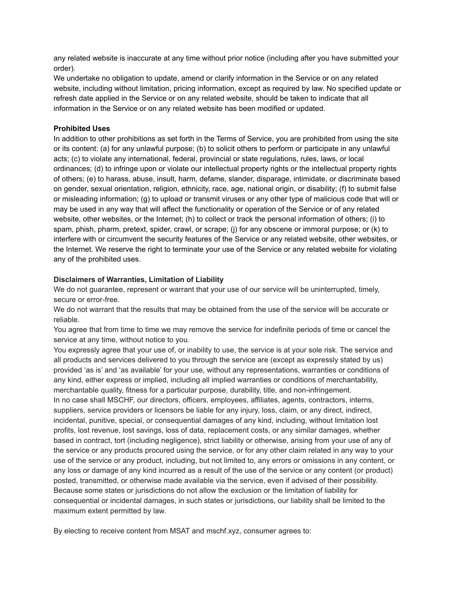any related website is inaccurate at any time without prior notice (including after you have submitted your order).

We undertake no obligation to update, amend or clarify information in the Service or on any related website, including without limitation, pricing information, except as required by law. No specified update or refresh date applied in the Service or on any related website, should be taken to indicate that all information in the Service or on any related website has been modified or updated.

# **Prohibited Uses**

In addition to other prohibitions as set forth in the Terms of Service, you are prohibited from using the site or its content: (a) for any unlawful purpose; (b) to solicit others to perform or participate in any unlawful acts; (c) to violate any international, federal, provincial or state regulations, rules, laws, or local ordinances; (d) to infringe upon or violate our intellectual property rights or the intellectual property rights of others; (e) to harass, abuse, insult, harm, defame, slander, disparage, intimidate, or discriminate based on gender, sexual orientation, religion, ethnicity, race, age, national origin, or disability; (f) to submit false or misleading information; (g) to upload or transmit viruses or any other type of malicious code that will or may be used in any way that will affect the functionality or operation of the Service or of any related website, other websites, or the Internet; (h) to collect or track the personal information of others; (i) to spam, phish, pharm, pretext, spider, crawl, or scrape; (j) for any obscene or immoral purpose; or (k) to interfere with or circumvent the security features of the Service or any related website, other websites, or the Internet. We reserve the right to terminate your use of the Service or any related website for violating any of the prohibited uses.

# **Disclaimers of Warranties, Limitation of Liability**

We do not guarantee, represent or warrant that your use of our service will be uninterrupted, timely, secure or error-free.

We do not warrant that the results that may be obtained from the use of the service will be accurate or reliable.

You agree that from time to time we may remove the service for indefinite periods of time or cancel the service at any time, without notice to you.

You expressly agree that your use of, or inability to use, the service is at your sole risk. The service and all products and services delivered to you through the service are (except as expressly stated by us) provided 'as is' and 'as available' for your use, without any representations, warranties or conditions of any kind, either express or implied, including all implied warranties or conditions of merchantability, merchantable quality, fitness for a particular purpose, durability, title, and non-infringement. In no case shall MSCHF, our directors, officers, employees, affiliates, agents, contractors, interns, suppliers, service providers or licensors be liable for any injury, loss, claim, or any direct, indirect, incidental, punitive, special, or consequential damages of any kind, including, without limitation lost profits, lost revenue, lost savings, loss of data, replacement costs, or any similar damages, whether based in contract, tort (including negligence), strict liability or otherwise, arising from your use of any of the service or any products procured using the service, or for any other claim related in any way to your use of the service or any product, including, but not limited to, any errors or omissions in any content, or any loss or damage of any kind incurred as a result of the use of the service or any content (or product) posted, transmitted, or otherwise made available via the service, even if advised of their possibility. Because some states or jurisdictions do not allow the exclusion or the limitation of liability for consequential or incidental damages, in such states or jurisdictions, our liability shall be limited to the maximum extent permitted by law.

By electing to receive content from MSAT and mschf.xyz, consumer agrees to: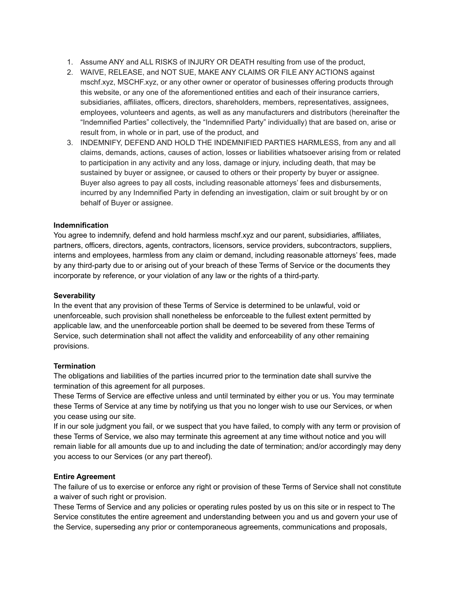- 1. Assume ANY and ALL RISKS of INJURY OR DEATH resulting from use of the product,
- 2. WAIVE, RELEASE, and NOT SUE, MAKE ANY CLAIMS OR FILE ANY ACTIONS against mschf.xyz, MSCHF.xyz, or any other owner or operator of businesses offering products through this website, or any one of the aforementioned entities and each of their insurance carriers, subsidiaries, affiliates, officers, directors, shareholders, members, representatives, assignees, employees, volunteers and agents, as well as any manufacturers and distributors (hereinafter the "Indemnified Parties" collectively, the "Indemnified Party" individually) that are based on, arise or result from, in whole or in part, use of the product, and
- 3. INDEMNIFY, DEFEND AND HOLD THE INDEMNIFIED PARTIES HARMLESS, from any and all claims, demands, actions, causes of action, losses or liabilities whatsoever arising from or related to participation in any activity and any loss, damage or injury, including death, that may be sustained by buyer or assignee, or caused to others or their property by buyer or assignee. Buyer also agrees to pay all costs, including reasonable attorneys' fees and disbursements, incurred by any Indemnified Party in defending an investigation, claim or suit brought by or on behalf of Buyer or assignee.

# **Indemnification**

You agree to indemnify, defend and hold harmless mschf.xyz and our parent, subsidiaries, affiliates, partners, officers, directors, agents, contractors, licensors, service providers, subcontractors, suppliers, interns and employees, harmless from any claim or demand, including reasonable attorneys' fees, made by any third-party due to or arising out of your breach of these Terms of Service or the documents they incorporate by reference, or your violation of any law or the rights of a third-party.

#### **Severability**

In the event that any provision of these Terms of Service is determined to be unlawful, void or unenforceable, such provision shall nonetheless be enforceable to the fullest extent permitted by applicable law, and the unenforceable portion shall be deemed to be severed from these Terms of Service, such determination shall not affect the validity and enforceability of any other remaining provisions.

#### **Termination**

The obligations and liabilities of the parties incurred prior to the termination date shall survive the termination of this agreement for all purposes.

These Terms of Service are effective unless and until terminated by either you or us. You may terminate these Terms of Service at any time by notifying us that you no longer wish to use our Services, or when you cease using our site.

If in our sole judgment you fail, or we suspect that you have failed, to comply with any term or provision of these Terms of Service, we also may terminate this agreement at any time without notice and you will remain liable for all amounts due up to and including the date of termination; and/or accordingly may deny you access to our Services (or any part thereof).

#### **Entire Agreement**

The failure of us to exercise or enforce any right or provision of these Terms of Service shall not constitute a waiver of such right or provision.

These Terms of Service and any policies or operating rules posted by us on this site or in respect to The Service constitutes the entire agreement and understanding between you and us and govern your use of the Service, superseding any prior or contemporaneous agreements, communications and proposals,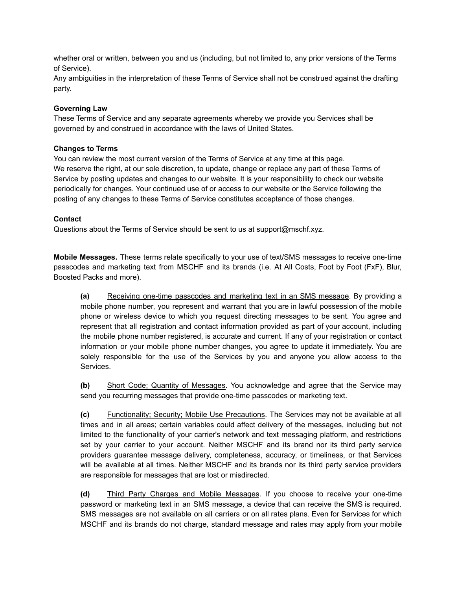whether oral or written, between you and us (including, but not limited to, any prior versions of the Terms of Service).

Any ambiguities in the interpretation of these Terms of Service shall not be construed against the drafting party.

# **Governing Law**

These Terms of Service and any separate agreements whereby we provide you Services shall be governed by and construed in accordance with the laws of United States.

# **Changes to Terms**

You can review the most current version of the Terms of Service at any time at this page. We reserve the right, at our sole discretion, to update, change or replace any part of these Terms of Service by posting updates and changes to our website. It is your responsibility to check our website periodically for changes. Your continued use of or access to our website or the Service following the posting of any changes to these Terms of Service constitutes acceptance of those changes.

# **Contact**

Questions about the Terms of Service should be sent to us at support@mschf.xyz.

**Mobile Messages.** These terms relate specifically to your use of text/SMS messages to receive one-time passcodes and marketing text from MSCHF and its brands (i.e. At All Costs, Foot by Foot (FxF), Blur, Boosted Packs and more).

**(a)** Receiving one-time passcodes and marketing text in an SMS message. By providing a mobile phone number, you represent and warrant that you are in lawful possession of the mobile phone or wireless device to which you request directing messages to be sent. You agree and represent that all registration and contact information provided as part of your account, including the mobile phone number registered, is accurate and current. If any of your registration or contact information or your mobile phone number changes, you agree to update it immediately. You are solely responsible for the use of the Services by you and anyone you allow access to the Services.

**(b)** Short Code; Quantity of Messages. You acknowledge and agree that the Service may send you recurring messages that provide one-time passcodes or marketing text.

**(c)** Functionality; Security; Mobile Use Precautions. The Services may not be available at all times and in all areas; certain variables could affect delivery of the messages, including but not limited to the functionality of your carrier's network and text messaging platform, and restrictions set by your carrier to your account. Neither MSCHF and its brand nor its third party service providers guarantee message delivery, completeness, accuracy, or timeliness, or that Services will be available at all times. Neither MSCHF and its brands nor its third party service providers are responsible for messages that are lost or misdirected.

**(d)** Third Party Charges and Mobile Messages. If you choose to receive your one-time password or marketing text in an SMS message, a device that can receive the SMS is required. SMS messages are not available on all carriers or on all rates plans. Even for Services for which MSCHF and its brands do not charge, standard message and rates may apply from your mobile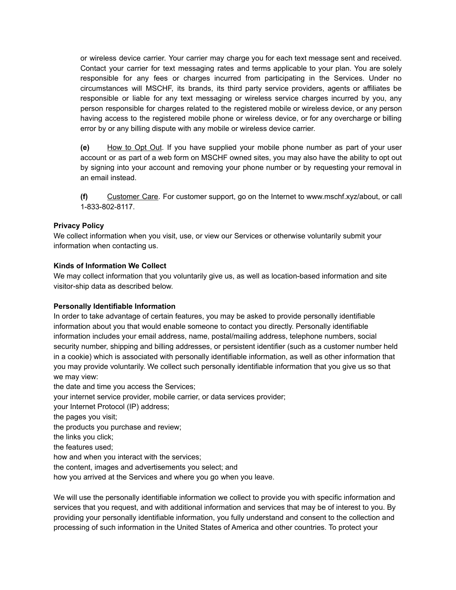or wireless device carrier. Your carrier may charge you for each text message sent and received. Contact your carrier for text messaging rates and terms applicable to your plan. You are solely responsible for any fees or charges incurred from participating in the Services. Under no circumstances will MSCHF, its brands, its third party service providers, agents or affiliates be responsible or liable for any text messaging or wireless service charges incurred by you, any person responsible for charges related to the registered mobile or wireless device, or any person having access to the registered mobile phone or wireless device, or for any overcharge or billing error by or any billing dispute with any mobile or wireless device carrier.

**(e)** How to Opt Out. If you have supplied your mobile phone number as part of your user account or as part of a web form on MSCHF owned sites, you may also have the ability to opt out by signing into your account and removing your phone number or by requesting your removal in an email instead.

**(f)** Customer Care. For customer support, go on the Internet to www.mschf.xyz/about, or call 1-833-802-8117.

# **Privacy Policy**

We collect information when you visit, use, or view our Services or otherwise voluntarily submit your information when contacting us.

# **Kinds of Information We Collect**

We may collect information that you voluntarily give us, as well as location-based information and site visitor-ship data as described below.

# **Personally Identifiable Information**

In order to take advantage of certain features, you may be asked to provide personally identifiable information about you that would enable someone to contact you directly. Personally identifiable information includes your email address, name, postal/mailing address, telephone numbers, social security number, shipping and billing addresses, or persistent identifier (such as a customer number held in a cookie) which is associated with personally identifiable information, as well as other information that you may provide voluntarily. We collect such personally identifiable information that you give us so that we may view:

the date and time you access the Services;

your internet service provider, mobile carrier, or data services provider;

your Internet Protocol (IP) address;

the pages you visit;

the products you purchase and review;

the links you click;

the features used;

how and when you interact with the services;

the content, images and advertisements you select; and

how you arrived at the Services and where you go when you leave.

We will use the personally identifiable information we collect to provide you with specific information and services that you request, and with additional information and services that may be of interest to you. By providing your personally identifiable information, you fully understand and consent to the collection and processing of such information in the United States of America and other countries. To protect your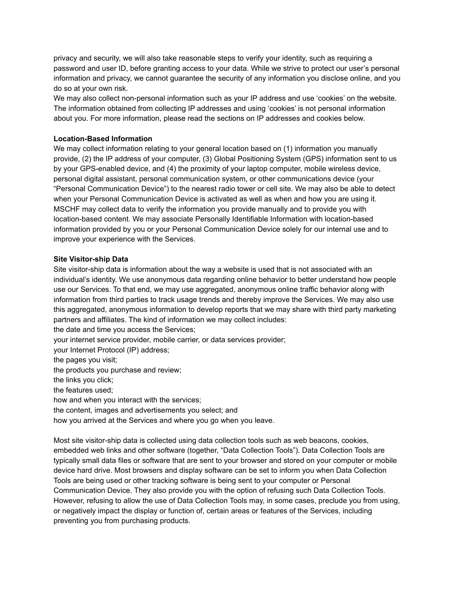privacy and security, we will also take reasonable steps to verify your identity, such as requiring a password and user ID, before granting access to your data. While we strive to protect our user's personal information and privacy, we cannot guarantee the security of any information you disclose online, and you do so at your own risk.

We may also collect non-personal information such as your IP address and use 'cookies' on the website. The information obtained from collecting IP addresses and using 'cookies' is not personal information about you. For more information, please read the sections on IP addresses and cookies below.

#### **Location-Based Information**

We may collect information relating to your general location based on (1) information you manually provide, (2) the IP address of your computer, (3) Global Positioning System (GPS) information sent to us by your GPS-enabled device, and (4) the proximity of your laptop computer, mobile wireless device, personal digital assistant, personal communication system, or other communications device (your "Personal Communication Device") to the nearest radio tower or cell site. We may also be able to detect when your Personal Communication Device is activated as well as when and how you are using it. MSCHF may collect data to verify the information you provide manually and to provide you with location-based content. We may associate Personally Identifiable Information with location-based information provided by you or your Personal Communication Device solely for our internal use and to improve your experience with the Services.

#### **Site Visitor-ship Data**

Site visitor-ship data is information about the way a website is used that is not associated with an individual's identity. We use anonymous data regarding online behavior to better understand how people use our Services. To that end, we may use aggregated, anonymous online traffic behavior along with information from third parties to track usage trends and thereby improve the Services. We may also use this aggregated, anonymous information to develop reports that we may share with third party marketing partners and affiliates. The kind of information we may collect includes:

the date and time you access the Services;

your internet service provider, mobile carrier, or data services provider;

your Internet Protocol (IP) address;

the pages you visit;

the products you purchase and review;

the links you click;

the features used;

how and when you interact with the services;

the content, images and advertisements you select; and

how you arrived at the Services and where you go when you leave.

Most site visitor-ship data is collected using data collection tools such as web beacons, cookies, embedded web links and other software (together, "Data Collection Tools"). Data Collection Tools are typically small data files or software that are sent to your browser and stored on your computer or mobile device hard drive. Most browsers and display software can be set to inform you when Data Collection Tools are being used or other tracking software is being sent to your computer or Personal Communication Device. They also provide you with the option of refusing such Data Collection Tools. However, refusing to allow the use of Data Collection Tools may, in some cases, preclude you from using, or negatively impact the display or function of, certain areas or features of the Services, including preventing you from purchasing products.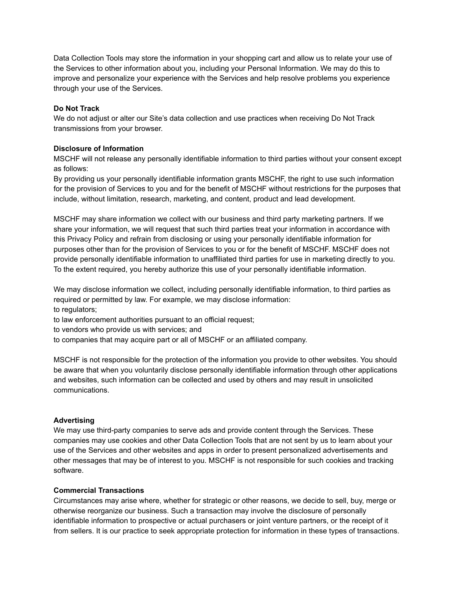Data Collection Tools may store the information in your shopping cart and allow us to relate your use of the Services to other information about you, including your Personal Information. We may do this to improve and personalize your experience with the Services and help resolve problems you experience through your use of the Services.

# **Do Not Track**

We do not adjust or alter our Site's data collection and use practices when receiving Do Not Track transmissions from your browser.

# **Disclosure of Information**

MSCHF will not release any personally identifiable information to third parties without your consent except as follows:

By providing us your personally identifiable information grants MSCHF, the right to use such information for the provision of Services to you and for the benefit of MSCHF without restrictions for the purposes that include, without limitation, research, marketing, and content, product and lead development.

MSCHF may share information we collect with our business and third party marketing partners. If we share your information, we will request that such third parties treat your information in accordance with this Privacy Policy and refrain from disclosing or using your personally identifiable information for purposes other than for the provision of Services to you or for the benefit of MSCHF. MSCHF does not provide personally identifiable information to unaffiliated third parties for use in marketing directly to you. To the extent required, you hereby authorize this use of your personally identifiable information.

We may disclose information we collect, including personally identifiable information, to third parties as required or permitted by law. For example, we may disclose information:

to regulators;

to law enforcement authorities pursuant to an official request;

to vendors who provide us with services; and

to companies that may acquire part or all of MSCHF or an affiliated company.

MSCHF is not responsible for the protection of the information you provide to other websites. You should be aware that when you voluntarily disclose personally identifiable information through other applications and websites, such information can be collected and used by others and may result in unsolicited communications.

# **Advertising**

We may use third-party companies to serve ads and provide content through the Services. These companies may use cookies and other Data Collection Tools that are not sent by us to learn about your use of the Services and other websites and apps in order to present personalized advertisements and other messages that may be of interest to you. MSCHF is not responsible for such cookies and tracking software.

# **Commercial Transactions**

Circumstances may arise where, whether for strategic or other reasons, we decide to sell, buy, merge or otherwise reorganize our business. Such a transaction may involve the disclosure of personally identifiable information to prospective or actual purchasers or joint venture partners, or the receipt of it from sellers. It is our practice to seek appropriate protection for information in these types of transactions.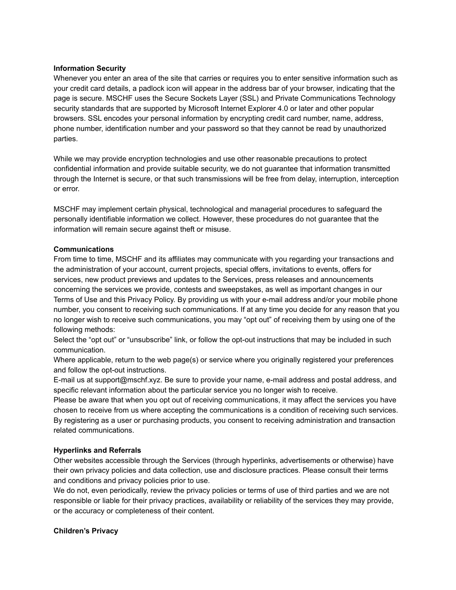#### **Information Security**

Whenever you enter an area of the site that carries or requires you to enter sensitive information such as your credit card details, a padlock icon will appear in the address bar of your browser, indicating that the page is secure. MSCHF uses the Secure Sockets Layer (SSL) and Private Communications Technology security standards that are supported by Microsoft Internet Explorer 4.0 or later and other popular browsers. SSL encodes your personal information by encrypting credit card number, name, address, phone number, identification number and your password so that they cannot be read by unauthorized parties.

While we may provide encryption technologies and use other reasonable precautions to protect confidential information and provide suitable security, we do not guarantee that information transmitted through the Internet is secure, or that such transmissions will be free from delay, interruption, interception or error.

MSCHF may implement certain physical, technological and managerial procedures to safeguard the personally identifiable information we collect. However, these procedures do not guarantee that the information will remain secure against theft or misuse.

#### **Communications**

From time to time, MSCHF and its affiliates may communicate with you regarding your transactions and the administration of your account, current projects, special offers, invitations to events, offers for services, new product previews and updates to the Services, press releases and announcements concerning the services we provide, contests and sweepstakes, as well as important changes in our Terms of Use and this Privacy Policy. By providing us with your e-mail address and/or your mobile phone number, you consent to receiving such communications. If at any time you decide for any reason that you no longer wish to receive such communications, you may "opt out" of receiving them by using one of the following methods:

Select the "opt out" or "unsubscribe" link, or follow the opt-out instructions that may be included in such communication.

Where applicable, return to the web page(s) or service where you originally registered your preferences and follow the opt-out instructions.

E-mail us at support@mschf.xyz. Be sure to provide your name, e-mail address and postal address, and specific relevant information about the particular service you no longer wish to receive.

Please be aware that when you opt out of receiving communications, it may affect the services you have chosen to receive from us where accepting the communications is a condition of receiving such services. By registering as a user or purchasing products, you consent to receiving administration and transaction related communications.

# **Hyperlinks and Referrals**

Other websites accessible through the Services (through hyperlinks, advertisements or otherwise) have their own privacy policies and data collection, use and disclosure practices. Please consult their terms and conditions and privacy policies prior to use.

We do not, even periodically, review the privacy policies or terms of use of third parties and we are not responsible or liable for their privacy practices, availability or reliability of the services they may provide, or the accuracy or completeness of their content.

# **Children's Privacy**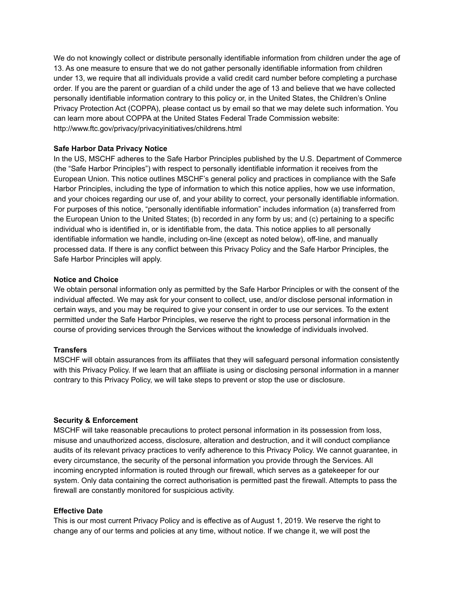We do not knowingly collect or distribute personally identifiable information from children under the age of 13. As one measure to ensure that we do not gather personally identifiable information from children under 13, we require that all individuals provide a valid credit card number before completing a purchase order. If you are the parent or guardian of a child under the age of 13 and believe that we have collected personally identifiable information contrary to this policy or, in the United States, the Children's Online Privacy Protection Act (COPPA), please contact us by email so that we may delete such information. You can learn more about COPPA at the United States Federal Trade Commission website: http://www.ftc.gov/privacy/privacyinitiatives/childrens.html

#### **Safe Harbor Data Privacy Notice**

In the US, MSCHF adheres to the Safe Harbor Principles published by the U.S. Department of Commerce (the "Safe Harbor Principles") with respect to personally identifiable information it receives from the European Union. This notice outlines MSCHF's general policy and practices in compliance with the Safe Harbor Principles, including the type of information to which this notice applies, how we use information, and your choices regarding our use of, and your ability to correct, your personally identifiable information. For purposes of this notice, "personally identifiable information" includes information (a) transferred from the European Union to the United States; (b) recorded in any form by us; and (c) pertaining to a specific individual who is identified in, or is identifiable from, the data. This notice applies to all personally identifiable information we handle, including on-line (except as noted below), off-line, and manually processed data. If there is any conflict between this Privacy Policy and the Safe Harbor Principles, the Safe Harbor Principles will apply.

#### **Notice and Choice**

We obtain personal information only as permitted by the Safe Harbor Principles or with the consent of the individual affected. We may ask for your consent to collect, use, and/or disclose personal information in certain ways, and you may be required to give your consent in order to use our services. To the extent permitted under the Safe Harbor Principles, we reserve the right to process personal information in the course of providing services through the Services without the knowledge of individuals involved.

# **Transfers**

MSCHF will obtain assurances from its affiliates that they will safeguard personal information consistently with this Privacy Policy. If we learn that an affiliate is using or disclosing personal information in a manner contrary to this Privacy Policy, we will take steps to prevent or stop the use or disclosure.

#### **Security & Enforcement**

MSCHF will take reasonable precautions to protect personal information in its possession from loss, misuse and unauthorized access, disclosure, alteration and destruction, and it will conduct compliance audits of its relevant privacy practices to verify adherence to this Privacy Policy. We cannot guarantee, in every circumstance, the security of the personal information you provide through the Services. All incoming encrypted information is routed through our firewall, which serves as a gatekeeper for our system. Only data containing the correct authorisation is permitted past the firewall. Attempts to pass the firewall are constantly monitored for suspicious activity.

# **Effective Date**

This is our most current Privacy Policy and is effective as of August 1, 2019. We reserve the right to change any of our terms and policies at any time, without notice. If we change it, we will post the